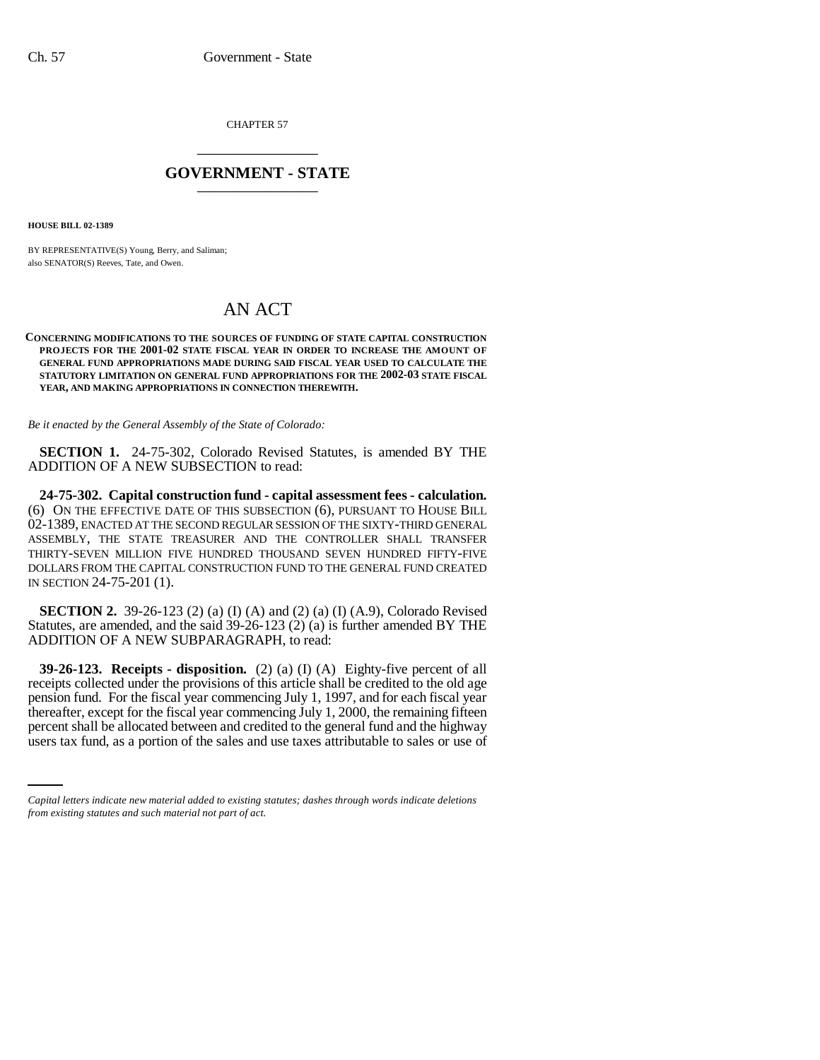CHAPTER 57 \_\_\_\_\_\_\_\_\_\_\_\_\_\_\_

## **GOVERNMENT - STATE** \_\_\_\_\_\_\_\_\_\_\_\_\_\_\_

**HOUSE BILL 02-1389**

BY REPRESENTATIVE(S) Young, Berry, and Saliman; also SENATOR(S) Reeves, Tate, and Owen.

## AN ACT

## **CONCERNING MODIFICATIONS TO THE SOURCES OF FUNDING OF STATE CAPITAL CONSTRUCTION PROJECTS FOR THE 2001-02 STATE FISCAL YEAR IN ORDER TO INCREASE THE AMOUNT OF GENERAL FUND APPROPRIATIONS MADE DURING SAID FISCAL YEAR USED TO CALCULATE THE STATUTORY LIMITATION ON GENERAL FUND APPROPRIATIONS FOR THE 2002-03 STATE FISCAL YEAR, AND MAKING APPROPRIATIONS IN CONNECTION THEREWITH.**

*Be it enacted by the General Assembly of the State of Colorado:*

**SECTION 1.** 24-75-302, Colorado Revised Statutes, is amended BY THE ADDITION OF A NEW SUBSECTION to read:

**24-75-302. Capital construction fund - capital assessment fees - calculation.** (6) ON THE EFFECTIVE DATE OF THIS SUBSECTION (6), PURSUANT TO HOUSE BILL 02-1389, ENACTED AT THE SECOND REGULAR SESSION OF THE SIXTY-THIRD GENERAL ASSEMBLY, THE STATE TREASURER AND THE CONTROLLER SHALL TRANSFER THIRTY-SEVEN MILLION FIVE HUNDRED THOUSAND SEVEN HUNDRED FIFTY-FIVE DOLLARS FROM THE CAPITAL CONSTRUCTION FUND TO THE GENERAL FUND CREATED IN SECTION 24-75-201 (1).

**SECTION 2.** 39-26-123 (2) (a) (I) (A) and (2) (a) (I) (A.9), Colorado Revised Statutes, are amended, and the said 39-26-123 (2) (a) is further amended BY THE ADDITION OF A NEW SUBPARAGRAPH, to read:

thereafter, except for the fiscal year commencing July 1, 2000, the remaining fifteen **39-26-123. Receipts - disposition.** (2) (a) (I) (A) Eighty-five percent of all receipts collected under the provisions of this article shall be credited to the old age pension fund. For the fiscal year commencing July 1, 1997, and for each fiscal year percent shall be allocated between and credited to the general fund and the highway users tax fund, as a portion of the sales and use taxes attributable to sales or use of

*Capital letters indicate new material added to existing statutes; dashes through words indicate deletions from existing statutes and such material not part of act.*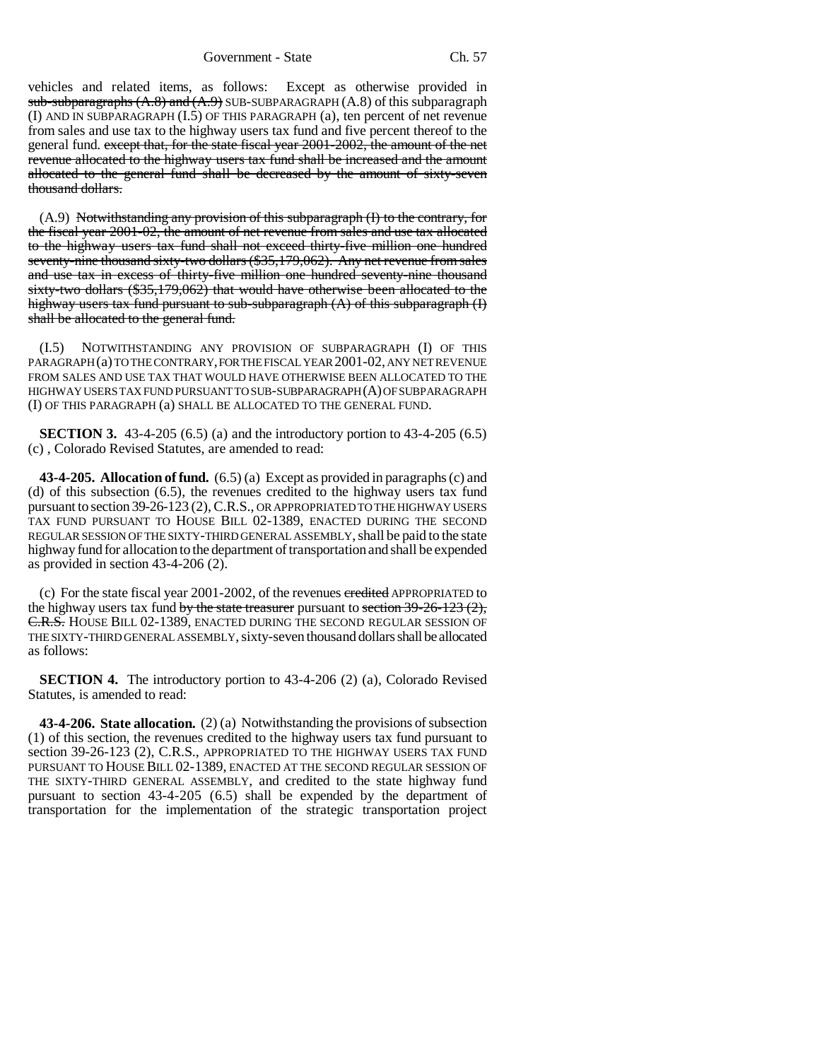vehicles and related items, as follows: Except as otherwise provided in  $sub-sub$ -subparagraphs  $(A.8)$  and  $(A.9)$  SUB-SUBPARAGRAPH  $(A.8)$  of this subparagraph (I) AND IN SUBPARAGRAPH (I.5) OF THIS PARAGRAPH (a), ten percent of net revenue from sales and use tax to the highway users tax fund and five percent thereof to the general fund. except that, for the state fiscal year 2001-2002, the amount of the net revenue allocated to the highway users tax fund shall be increased and the amount allocated to the general fund shall be decreased by the amount of sixty-seven thousand dollars.

 $(A.9)$  Notwithstanding any provision of this subparagraph (I) to the contrary, for the fiscal year 2001-02, the amount of net revenue from sales and use tax allocated to the highway users tax fund shall not exceed thirty-five million one hundred seventy-nine thousand sixty-two dollars (\$35,179,062). Any net revenue from sales and use tax in excess of thirty-five million one hundred seventy-nine thousand sixty-two dollars (\$35,179,062) that would have otherwise been allocated to the highway users tax fund pursuant to sub-subparagraph (A) of this subparagraph (I) shall be allocated to the general fund.

(I.5) NOTWITHSTANDING ANY PROVISION OF SUBPARAGRAPH (I) OF THIS PARAGRAPH (a) TO THE CONTRARY, FOR THE FISCAL YEAR 2001-02, ANY NET REVENUE FROM SALES AND USE TAX THAT WOULD HAVE OTHERWISE BEEN ALLOCATED TO THE HIGHWAY USERS TAX FUND PURSUANT TO SUB-SUBPARAGRAPH (A) OF SUBPARAGRAPH (I) OF THIS PARAGRAPH (a) SHALL BE ALLOCATED TO THE GENERAL FUND.

**SECTION 3.** 43-4-205 (6.5) (a) and the introductory portion to 43-4-205 (6.5) (c) , Colorado Revised Statutes, are amended to read:

**43-4-205. Allocation of fund.** (6.5) (a) Except as provided in paragraphs (c) and (d) of this subsection (6.5), the revenues credited to the highway users tax fund pursuant to section 39-26-123 (2), C.R.S., OR APPROPRIATED TO THE HIGHWAY USERS TAX FUND PURSUANT TO HOUSE BILL 02-1389, ENACTED DURING THE SECOND REGULAR SESSION OF THE SIXTY-THIRD GENERAL ASSEMBLY, shall be paid to the state highway fund for allocation to the department of transportation and shall be expended as provided in section 43-4-206 (2).

(c) For the state fiscal year  $2001-2002$ , of the revenues credited APPROPRIATED to the highway users tax fund by the state treasurer pursuant to section  $39-26-123(2)$ , C.R.S. HOUSE BILL 02-1389, ENACTED DURING THE SECOND REGULAR SESSION OF THE SIXTY-THIRD GENERAL ASSEMBLY, sixty-seven thousand dollars shall be allocated as follows:

**SECTION 4.** The introductory portion to 43-4-206 (2) (a), Colorado Revised Statutes, is amended to read:

**43-4-206. State allocation.** (2) (a) Notwithstanding the provisions of subsection (1) of this section, the revenues credited to the highway users tax fund pursuant to section 39-26-123 (2), C.R.S., APPROPRIATED TO THE HIGHWAY USERS TAX FUND PURSUANT TO HOUSE BILL 02-1389, ENACTED AT THE SECOND REGULAR SESSION OF THE SIXTY-THIRD GENERAL ASSEMBLY, and credited to the state highway fund pursuant to section 43-4-205 (6.5) shall be expended by the department of transportation for the implementation of the strategic transportation project